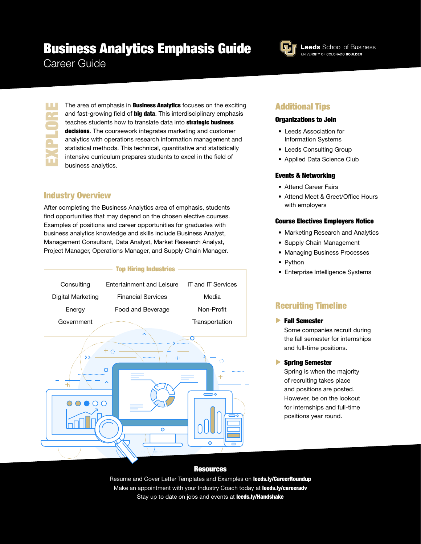# Business Analytics Emphasis Guide

Career Guide

EXPLORE

π

**Leeds** School of Business UNIVERSITY OF COLORADO BOULDER

The area of emphasis in **Business Analytics** focuses on the exciting and fast-growing field of big data. This interdisciplinary emphasis teaches students how to translate data into **strategic business** decisions. The coursework integrates marketing and customer analytics with operations research information management and statistical methods. This technical, quantitative and statistically intensive curriculum prepares students to excel in the field of business analytics.

## Industry Overview

After completing the Business Analytics area of emphasis, students find opportunities that may depend on the chosen elective courses. Examples of positions and career opportunities for graduates with business analytics knowledge and skills include Business Analyst, Management Consultant, Data Analyst, Market Research Analyst, Project Manager, Operations Manager, and Supply Chain Manager.



### Additional Tips

#### Organizations to Join

- Leeds Association for Information Systems
- Leeds Consulting Group
- Applied Data Science Club

#### Events & Networking

- Attend Career Fairs
- Attend Meet & Greet/Office Hours with employers

#### Course Electives Employers Notice

- Marketing Research and Analytics
- Supply Chain Management
- Managing Business Processes
- Python
- Enterprise Intelligence Systems

## Recruiting Timeline

Fall Semester

Some companies recruit during the fall semester for internships and full-time positions.

Spring Semester

Spring is when the majority of recruiting takes place and positions are posted. However, be on the lookout for internships and full-time positions year round.

#### **Resources**

Resume and Cover Letter Templates and Examples on leeds.ly/CareerRoundup Make an appointment with your Industry Coach today at leeds.ly/careeradv Stay up to date on jobs and events at leeds.ly/Handshake